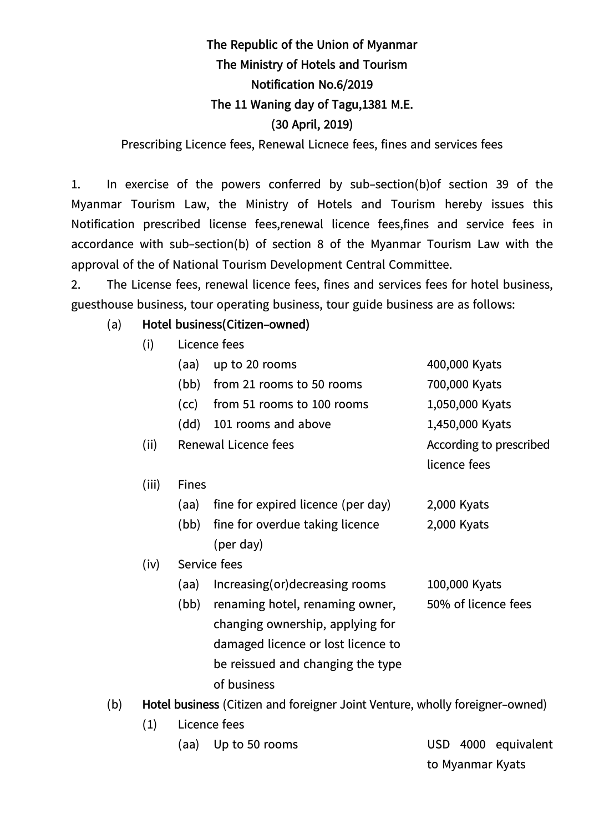## **The Republic of the Union of Myanmar The Ministry of Hotels and Tourism Notification No.6/2019 The 11 Waning day of Tagu,1381 M.E. (30 April, 2019)** Prescribing Licence fees, Renewal Licnece fees, fines and services fees

1. In exercise of the powers conferred by sub-section(b)of section 39 of the Myanmar Tourism Law, the Ministry of Hotels and Tourism hereby issues this Notification prescribed license fees,renewal licence fees,fines and service fees in accordance with sub-section(b) of section 8 of the Myanmar Tourism Law with the approval of the of National Tourism Development Central Committee.

2. The License fees, renewal licence fees, fines and services fees for hotel business, guesthouse business, tour operating business, tour guide business are as follows:

## (a) **Hotel business(Citizen-owned)**

(i) Licence fees

|     |                                                                              | (aa)         | up to 20 rooms                                         | 400,000 Kyats                             |  |  |
|-----|------------------------------------------------------------------------------|--------------|--------------------------------------------------------|-------------------------------------------|--|--|
|     |                                                                              | (bb)         | from 21 rooms to 50 rooms                              | 700,000 Kyats                             |  |  |
|     |                                                                              | (cc)         | from 51 rooms to 100 rooms                             | 1,050,000 Kyats                           |  |  |
|     |                                                                              | (dd)         | 101 rooms and above                                    | 1,450,000 Kyats                           |  |  |
|     | (ii)                                                                         |              | Renewal Licence fees                                   | According to prescribed                   |  |  |
|     |                                                                              |              |                                                        | licence fees                              |  |  |
|     | (iii)                                                                        | <b>Fines</b> |                                                        |                                           |  |  |
|     |                                                                              | (aa)         | fine for expired licence (per day)                     | 2,000 Kyats                               |  |  |
|     |                                                                              | (bb)         | fine for overdue taking licence                        | 2,000 Kyats                               |  |  |
|     |                                                                              |              | (per day)                                              |                                           |  |  |
|     | (iv)                                                                         |              | Service fees                                           |                                           |  |  |
|     |                                                                              | (aa)         | Increasing(or)decreasing rooms                         | 100,000 Kyats                             |  |  |
|     |                                                                              | (bb)         | renaming hotel, renaming owner,                        | 50% of licence fees                       |  |  |
|     |                                                                              |              | changing ownership, applying for                       |                                           |  |  |
|     |                                                                              |              | damaged licence or lost licence to                     |                                           |  |  |
|     |                                                                              |              | be reissued and changing the type                      |                                           |  |  |
|     |                                                                              |              | of business                                            |                                           |  |  |
| (b) | Hotel business (Citizen and foreigner Joint Venture, wholly foreigner-owned) |              |                                                        |                                           |  |  |
|     | (1)                                                                          |              | Licence fees                                           |                                           |  |  |
|     |                                                                              |              | $\ell = \ell$ is $\ell = \mathsf{F} \wedge \mathsf{F}$ | $\overline{\phantom{a}}$<br>$1000 - 1111$ |  |  |

to Myanmar Kyats

(aa) Up to 50 rooms USD 4000 equivalent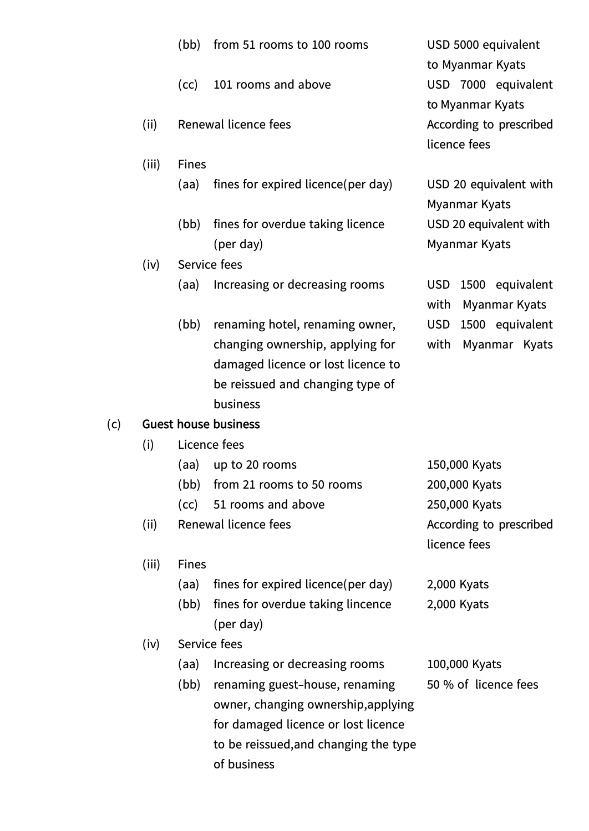|                             | (bb)                      | from 51 rooms to 100 rooms                    | USD 5000 equivalent<br>to Myanmar Kyats                     |  |  |  |  |
|-----------------------------|---------------------------|-----------------------------------------------|-------------------------------------------------------------|--|--|--|--|
|                             | (cc)                      | 101 rooms and above                           | USD 7000 equivalent                                         |  |  |  |  |
| (ii)                        |                           | Renewal licence fees                          | to Myanmar Kyats<br>According to prescribed<br>licence fees |  |  |  |  |
| (iii)                       | <b>Fines</b>              |                                               |                                                             |  |  |  |  |
|                             | (aa)                      | fines for expired licence (per day)           | USD 20 equivalent with<br>Myanmar Kyats                     |  |  |  |  |
|                             | (bb)                      | fines for overdue taking licence<br>(per day) | USD 20 equivalent with<br><b>Myanmar Kyats</b>              |  |  |  |  |
| (iv)                        |                           | Service fees                                  |                                                             |  |  |  |  |
|                             | (aa)                      | Increasing or decreasing rooms                | 1500 equivalent<br><b>USD</b><br>with<br>Myanmar Kyats      |  |  |  |  |
|                             | (bb)                      | renaming hotel, renaming owner,               | <b>USD</b><br>1500 equivalent                               |  |  |  |  |
|                             |                           | changing ownership, applying for              | with<br>Myanmar Kyats                                       |  |  |  |  |
|                             |                           | damaged licence or lost licence to            |                                                             |  |  |  |  |
|                             |                           | be reissued and changing type of              |                                                             |  |  |  |  |
|                             |                           | business                                      |                                                             |  |  |  |  |
| <b>Guest house business</b> |                           |                                               |                                                             |  |  |  |  |
| (i)                         |                           | Licence fees                                  |                                                             |  |  |  |  |
|                             | (aa)                      | up to 20 rooms                                | 150,000 Kyats                                               |  |  |  |  |
|                             | (bb)                      | from 21 rooms to 50 rooms                     | 200,000 Kyats                                               |  |  |  |  |
|                             |                           | (cc) 51 rooms and above                       | 250,000 Kyats                                               |  |  |  |  |
| (ii)                        |                           | Renewal licence fees                          | According to prescribed<br>licence fees                     |  |  |  |  |
|                             |                           |                                               |                                                             |  |  |  |  |
| (iii)                       | <b>Fines</b>              |                                               |                                                             |  |  |  |  |
|                             | (aa)                      | fines for expired licence (per day)           | 2,000 Kyats                                                 |  |  |  |  |
|                             | (bb)                      | fines for overdue taking lincence             | 2,000 Kyats                                                 |  |  |  |  |
| (iv)                        | (per day)<br>Service fees |                                               |                                                             |  |  |  |  |
|                             | (aa)                      | Increasing or decreasing rooms                | 100,000 Kyats                                               |  |  |  |  |
|                             | (bb)                      | renaming guest-house, renaming                | 50 % of licence fees                                        |  |  |  |  |
|                             |                           | owner, changing ownership, applying           |                                                             |  |  |  |  |
|                             |                           | for damaged licence or lost licence           |                                                             |  |  |  |  |
|                             |                           | to be reissued, and changing the type         |                                                             |  |  |  |  |
|                             |                           | of business                                   |                                                             |  |  |  |  |

(c) **Guest house business**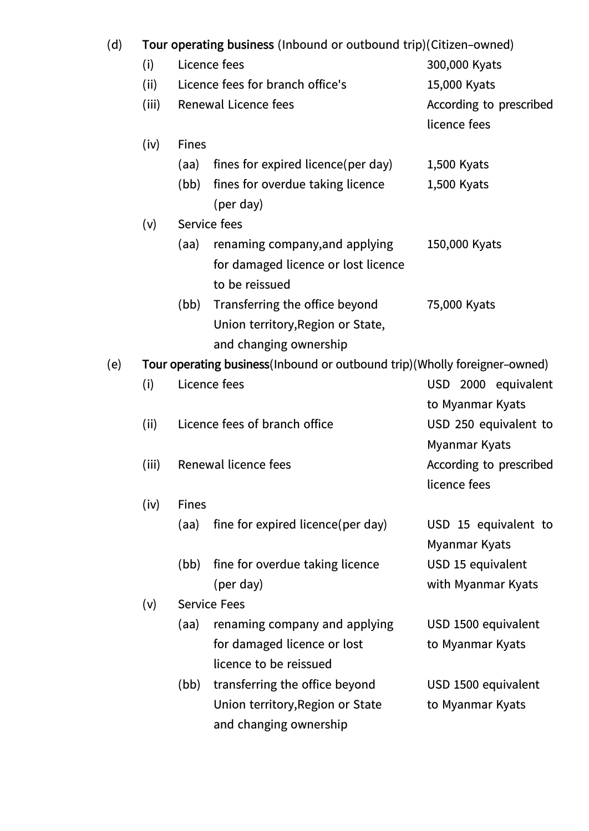| (d) | Tour operating business (Inbound or outbound trip)(Citizen-owned) |  |  |  |
|-----|-------------------------------------------------------------------|--|--|--|
|-----|-------------------------------------------------------------------|--|--|--|

| (d) | Tour operating business (Inbound or outbound trip)(Citizen–owned)           |                               |                                               |                         |  |  |  |
|-----|-----------------------------------------------------------------------------|-------------------------------|-----------------------------------------------|-------------------------|--|--|--|
|     | (i)                                                                         |                               | Licence fees                                  | 300,000 Kyats           |  |  |  |
|     | (ii)                                                                        |                               | Licence fees for branch office's              | 15,000 Kyats            |  |  |  |
|     | (iii)                                                                       |                               | <b>Renewal Licence fees</b>                   | According to prescribed |  |  |  |
|     |                                                                             |                               |                                               | licence fees            |  |  |  |
|     | (iv)                                                                        | <b>Fines</b>                  |                                               |                         |  |  |  |
|     |                                                                             | (aa)                          | fines for expired licence (per day)           | 1,500 Kyats             |  |  |  |
|     |                                                                             | (bb)                          | fines for overdue taking licence<br>(per day) | 1,500 Kyats             |  |  |  |
|     | (v)                                                                         |                               | Service fees                                  |                         |  |  |  |
|     |                                                                             | (aa)                          | renaming company, and applying                | 150,000 Kyats           |  |  |  |
|     |                                                                             |                               | for damaged licence or lost licence           |                         |  |  |  |
|     |                                                                             |                               | to be reissued                                |                         |  |  |  |
|     |                                                                             | (bb)                          | Transferring the office beyond                | 75,000 Kyats            |  |  |  |
|     |                                                                             |                               | Union territory, Region or State,             |                         |  |  |  |
|     |                                                                             |                               | and changing ownership                        |                         |  |  |  |
| (e) | Tour operating business (Inbound or outbound trip) (Wholly foreigner-owned) |                               |                                               |                         |  |  |  |
|     | (i)                                                                         | Licence fees                  |                                               | USD 2000 equivalent     |  |  |  |
|     |                                                                             |                               |                                               | to Myanmar Kyats        |  |  |  |
|     | (ii)                                                                        | Licence fees of branch office |                                               | USD 250 equivalent to   |  |  |  |
|     |                                                                             |                               |                                               | Myanmar Kyats           |  |  |  |
|     | (iii)                                                                       |                               | Renewal licence fees                          | According to prescribed |  |  |  |
|     |                                                                             |                               |                                               | licence fees            |  |  |  |
|     | (iv)                                                                        | <b>Fines</b>                  |                                               |                         |  |  |  |
|     |                                                                             | (aa)                          | fine for expired licence(per day)             | USD 15 equivalent to    |  |  |  |

(bb) fine for overdue taking licence USD 15 equivalent (per day) with Myanmar Kyats

## (v) Service Fees

- (aa) renaming company and applying USD 1500 equivalent for damaged licence or lost to Myanmar Kyats licence to be reissued
- (bb) transferring the office beyond USD 1500 equivalent Union territory, Region or State to Myanmar Kyats and changing ownership

Myanmar Kyats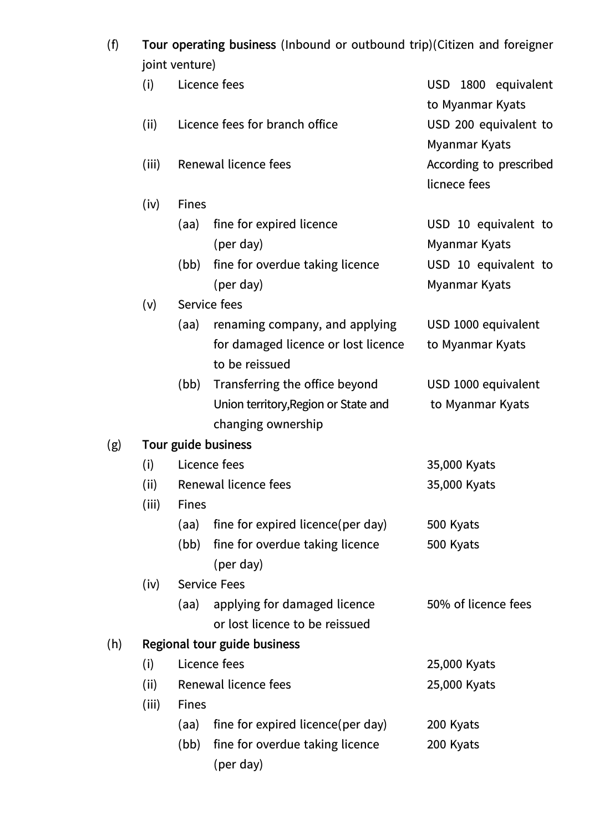(f) **Tour operating business** (Inbound or outbound trip)(Citizen and foreigner joint venture)

|     | JUIL VEIILUI EJ     |                      |                                                       |                                               |  |  |  |
|-----|---------------------|----------------------|-------------------------------------------------------|-----------------------------------------------|--|--|--|
|     | (i)                 | Licence fees         |                                                       | USD 1800 equivalent<br>to Myanmar Kyats       |  |  |  |
|     | (ii)                |                      | Licence fees for branch office                        | USD 200 equivalent to<br><b>Myanmar Kyats</b> |  |  |  |
|     | (iii)               | Renewal licence fees |                                                       | According to prescribed<br>licnece fees       |  |  |  |
|     | (iv)                | <b>Fines</b>         |                                                       |                                               |  |  |  |
|     |                     | (aa)                 | fine for expired licence                              | USD 10 equivalent to                          |  |  |  |
|     |                     |                      | (per day)                                             | Myanmar Kyats                                 |  |  |  |
|     |                     | (bb)                 | fine for overdue taking licence                       | USD 10 equivalent to                          |  |  |  |
|     |                     |                      | (per day)                                             | Myanmar Kyats                                 |  |  |  |
|     | (v)                 |                      | Service fees                                          |                                               |  |  |  |
|     |                     | (aa)                 | renaming company, and applying                        | USD 1000 equivalent                           |  |  |  |
|     |                     |                      | for damaged licence or lost licence<br>to be reissued | to Myanmar Kyats                              |  |  |  |
|     |                     | (bb)                 | Transferring the office beyond                        | USD 1000 equivalent                           |  |  |  |
|     |                     |                      | Union territory, Region or State and                  | to Myanmar Kyats                              |  |  |  |
|     |                     |                      | changing ownership                                    |                                               |  |  |  |
| (g) | Tour guide business |                      |                                                       |                                               |  |  |  |
|     | (i)                 | Licence fees         |                                                       | 35,000 Kyats                                  |  |  |  |
|     | (ii)                | Renewal licence fees |                                                       | 35,000 Kyats                                  |  |  |  |
|     | (iii)               | <b>Fines</b>         |                                                       |                                               |  |  |  |
|     |                     | (aa)                 | fine for expired licence (per day)                    | 500 Kyats                                     |  |  |  |
|     |                     | (bb)                 | fine for overdue taking licence<br>(per day)          | 500 Kyats                                     |  |  |  |
|     | (iv)                | <b>Service Fees</b>  |                                                       |                                               |  |  |  |
|     |                     | (aa)                 | applying for damaged licence                          | 50% of licence fees                           |  |  |  |
|     |                     |                      | or lost licence to be reissued                        |                                               |  |  |  |
| (h) |                     |                      | Regional tour guide business                          |                                               |  |  |  |
|     | (i)                 | Licence fees         |                                                       | 25,000 Kyats                                  |  |  |  |
|     | (ii)                | Renewal licence fees |                                                       | 25,000 Kyats                                  |  |  |  |
|     | (iii)               | <b>Fines</b>         |                                                       |                                               |  |  |  |
|     |                     | (aa)                 | fine for expired licence (per day)                    | 200 Kyats                                     |  |  |  |
|     |                     | (bb)                 | fine for overdue taking licence                       | 200 Kyats                                     |  |  |  |
|     |                     |                      | (per day)                                             |                                               |  |  |  |